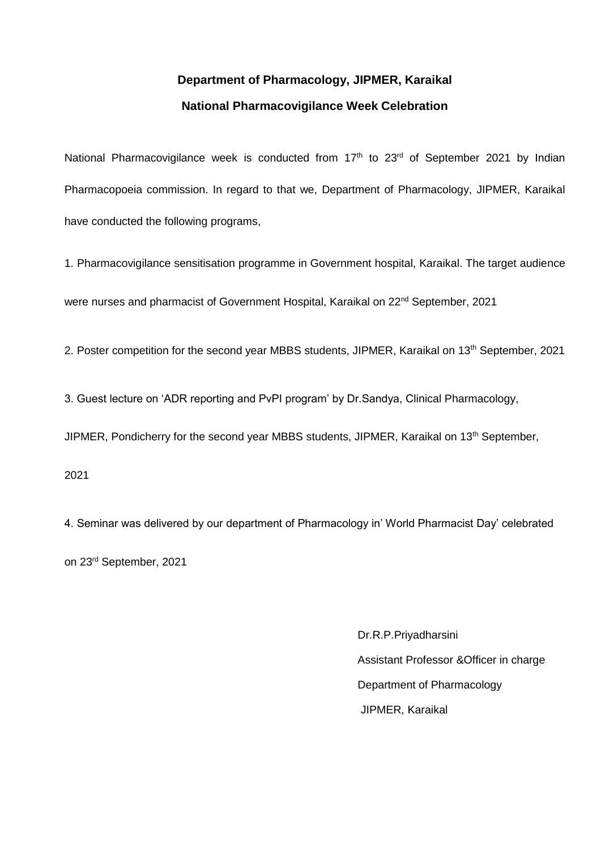### **Department of Pharmacology, JIPMER, Karaikal National Pharmacovigilance Week Celebration**

National Pharmacovigilance week is conducted from 17<sup>th</sup> to 23<sup>rd</sup> of September 2021 by Indian Pharmacopoeia commission. In regard to that we, Department of Pharmacology, JIPMER, Karaikal have conducted the following programs,

1. Pharmacovigilance sensitisation programme in Government hospital, Karaikal. The target audience were nurses and pharmacist of Government Hospital, Karaikal on 22nd September, 2021

2. Poster competition for the second year MBBS students, JIPMER, Karaikal on 13<sup>th</sup> September, 2021

3. Guest lecture on 'ADR reporting and PvPI program' by Dr.Sandya, Clinical Pharmacology,

JIPMER, Pondicherry for the second year MBBS students, JIPMER, Karaikal on 13<sup>th</sup> September,

2021

4. Seminar was delivered by our department of Pharmacology in' World Pharmacist Day' celebrated on 23rd September, 2021

> Dr.R.P.Priyadharsini Assistant Professor &Officer in charge Department of Pharmacology JIPMER, Karaikal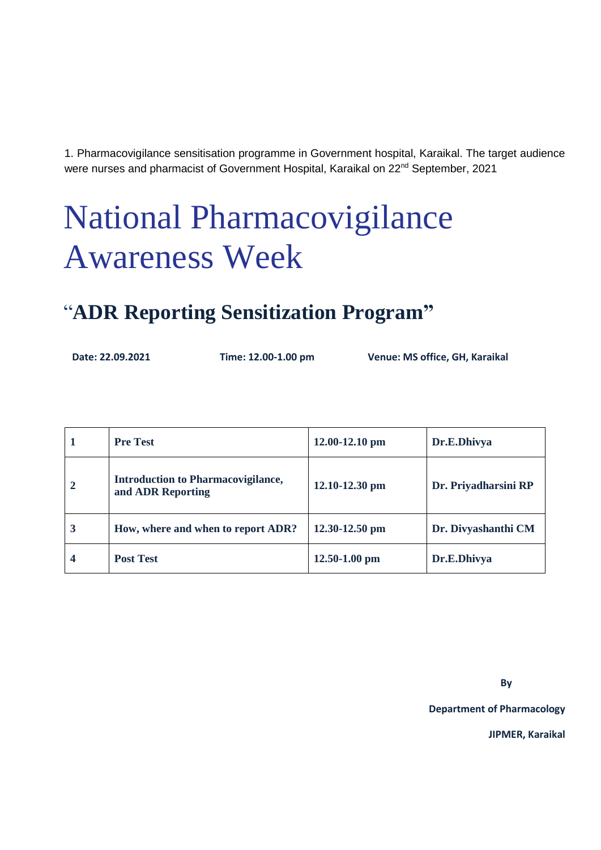1. Pharmacovigilance sensitisation programme in Government hospital, Karaikal. The target audience were nurses and pharmacist of Government Hospital, Karaikal on 22nd September, 2021

# National Pharmacovigilance Awareness Week

## "**ADR Reporting Sensitization Program"**

 **Date: 22.09.2021 Time: 12.00-1.00 pm Venue: MS office, GH, Karaikal**

|                | <b>Pre Test</b>                                                | $12.00 - 12.10$ pm | Dr.E.Dhivya          |
|----------------|----------------------------------------------------------------|--------------------|----------------------|
| $\overline{2}$ | <b>Introduction to Pharmacovigilance,</b><br>and ADR Reporting | $12.10 - 12.30$ pm | Dr. Priyadharsini RP |
| 3              | How, where and when to report ADR?                             | $12.30 - 12.50$ pm | Dr. Divyashanthi CM  |
| 4              | <b>Post Test</b>                                               | $12.50 - 1.00$ pm  | Dr.E.Dhivya          |

**By**

**Department of Pharmacology**

**JIPMER, Karaikal**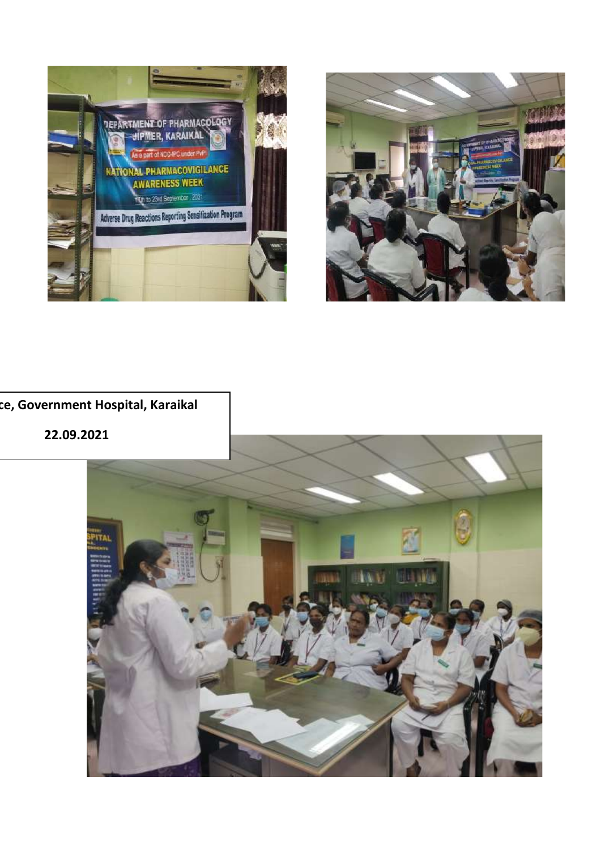



#### **MS office, Government Hospital, Karaikal**

**22.09.2021**

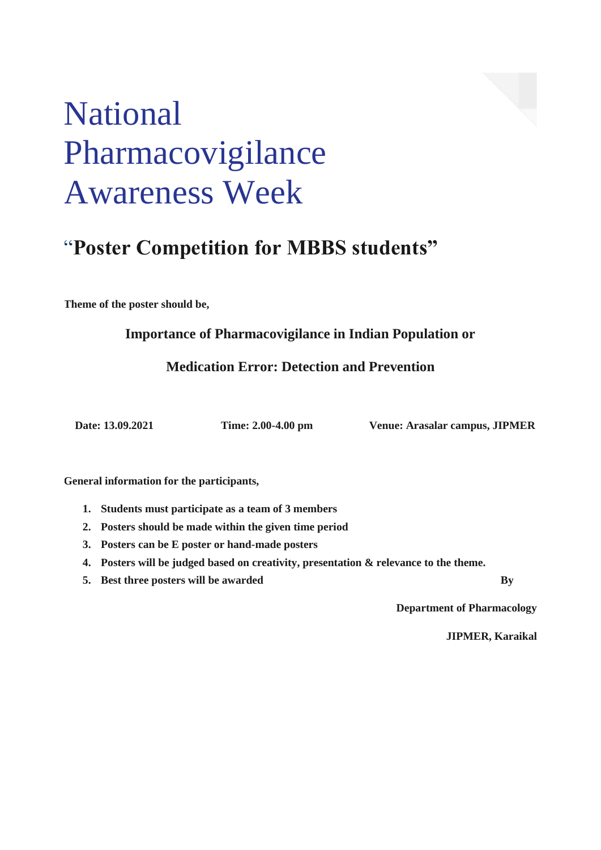# National Pharmacovigilance Awareness Week

## "**Poster Competition for MBBS students"**

**Theme of the poster should be,**

**Importance of Pharmacovigilance in Indian Population or**

**Medication Error: Detection and Prevention**

 **Date: 13.09.2021 Time: 2.00-4.00 pm Venue: Arasalar campus, JIPMER**

**General information for the participants,**

- **1. Students must participate as a team of 3 members**
- **2. Posters should be made within the given time period**
- **3. Posters can be E poster or hand-made posters**
- **4. Posters will be judged based on creativity, presentation & relevance to the theme.**
- **5. Best three posters will be awarded By**

**Department of Pharmacology**

**JIPMER, Karaikal**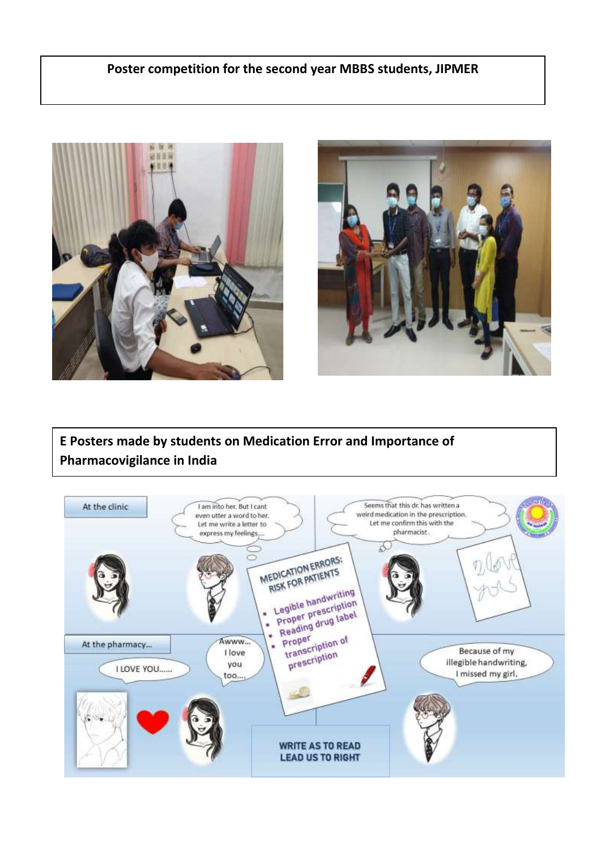#### **Poster competition for the second year MBBS students, JIPMER**





**E Posters made by students on Medication Error and Importance of Pharmacovigilance in India**

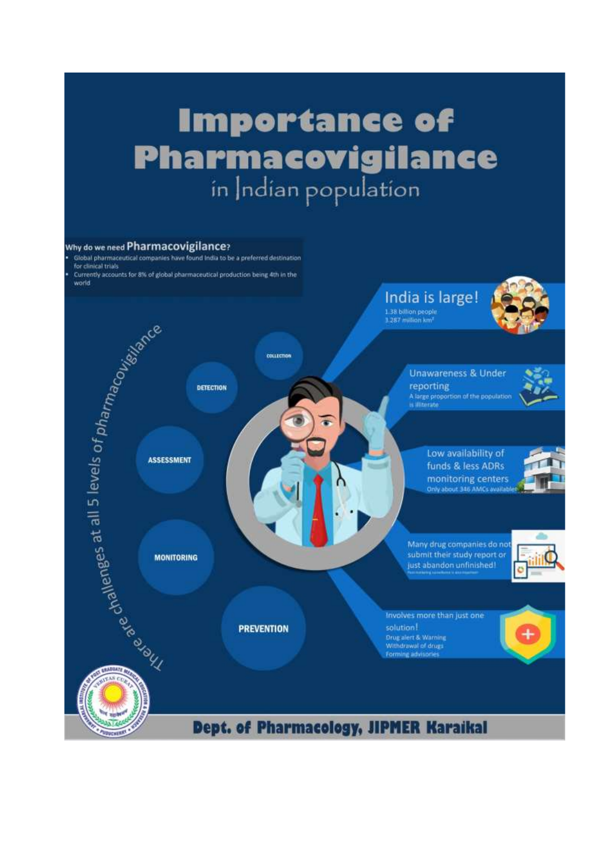# **Importance of Pharmacovigilance**

#### Why do we need Pharmacovigilance?

Global pharmaceutical companies have found india to be a preferred destination for clinical trials Currently accounts for 8% of global pharmaceutical production being 4th in the

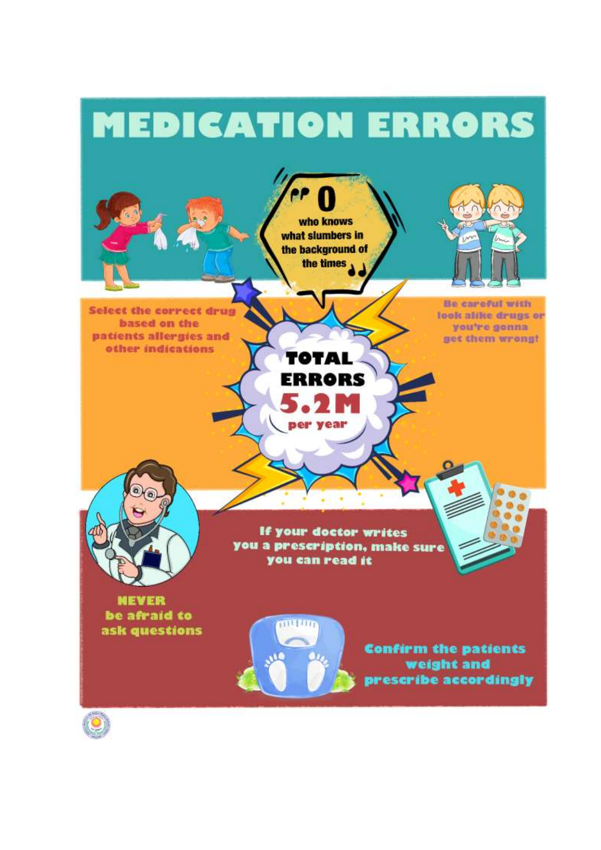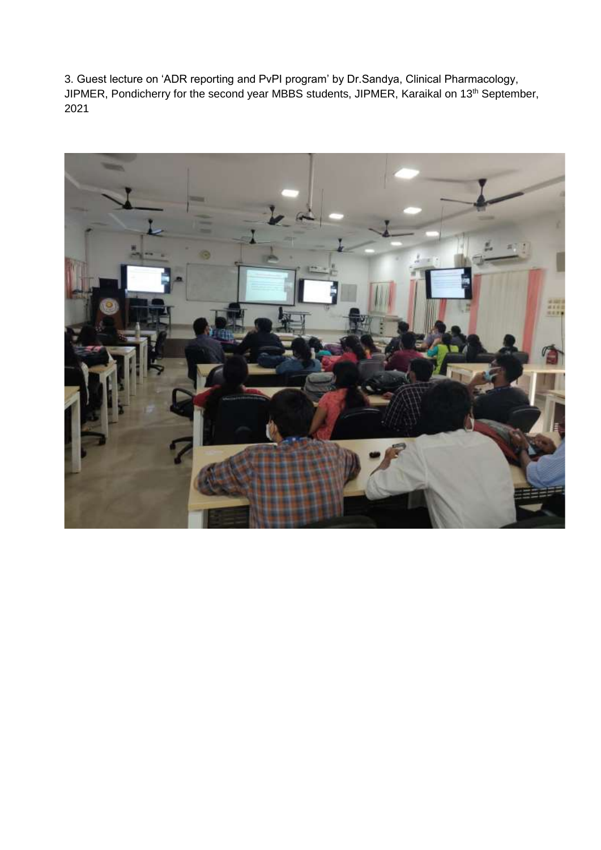3. Guest lecture on 'ADR reporting and PvPI program' by Dr.Sandya, Clinical Pharmacology, JIPMER, Pondicherry for the second year MBBS students, JIPMER, Karaikal on 13th September, 2021